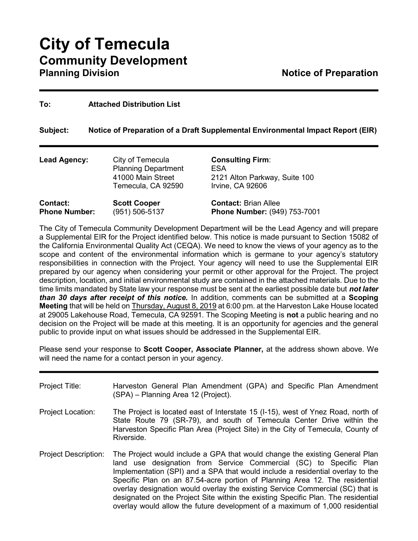To: Attached Distribution List

Subject: Notice of Preparation of a Draft Supplemental Environmental Impact Report (EIR)

| Lead Agency:         | City of Temecula<br><b>Planning Department</b><br>41000 Main Street<br>Temecula, CA 92590 | <b>Consulting Firm:</b><br>ESA<br>2121 Alton Parkway, Suite 100<br>Irvine, CA 92606 |
|----------------------|-------------------------------------------------------------------------------------------|-------------------------------------------------------------------------------------|
| <b>Contact:</b>      | <b>Scott Cooper</b>                                                                       | <b>Contact: Brian Allee</b>                                                         |
| <b>Phone Number:</b> | (951) 506-5137                                                                            | <b>Phone Number: (949) 753-7001</b>                                                 |

The City of Temecula Community Development Department will be the Lead Agency and will prepare a Supplemental EIR for the Project identified below. This notice is made pursuant to Section 15082 of the California Environmental Quality Act (CEQA). We need to know the views of your agency as to the scope and content of the environmental information which is germane to your agency's statutory responsibilities in connection with the Project. Your agency will need to use the Supplemental EIR prepared by our agency when considering your permit or other approval for the Project. The project description, location, and initial environmental study are contained in the attached materials. Due to the time limits mandated by State law your response must be sent at the earliest possible date but not later than 30 days after receipt of this notice. In addition, comments can be submitted at a Scoping Meeting that will be held on Thursday, August 8, 2019 at 6:00 pm. at the Harveston Lake House located at 29005 Lakehouse Road, Temecula, CA 92591. The Scoping Meeting is not a public hearing and no decision on the Project will be made at this meeting. It is an opportunity for agencies and the general public to provide input on what issues should be addressed in the Supplemental EIR.

Please send your response to Scott Cooper, Associate Planner, at the address shown above. We will need the name for a contact person in your agency.

| Project Title:              | Harveston General Plan Amendment (GPA) and Specific Plan Amendment<br>(SPA) – Planning Area 12 (Project).                                                                                                                                                                                                                                                                                                                                                                                                                                                                 |
|-----------------------------|---------------------------------------------------------------------------------------------------------------------------------------------------------------------------------------------------------------------------------------------------------------------------------------------------------------------------------------------------------------------------------------------------------------------------------------------------------------------------------------------------------------------------------------------------------------------------|
| Project Location:           | The Project is located east of Interstate 15 (I-15), west of Ynez Road, north of<br>State Route 79 (SR-79), and south of Temecula Center Drive within the<br>Harveston Specific Plan Area (Project Site) in the City of Temecula, County of<br>Riverside.                                                                                                                                                                                                                                                                                                                 |
| <b>Project Description:</b> | The Project would include a GPA that would change the existing General Plan<br>land use designation from Service Commercial (SC) to Specific Plan<br>Implementation (SPI) and a SPA that would include a residential overlay to the<br>Specific Plan on an 87.54-acre portion of Planning Area 12. The residential<br>overlay designation would overlay the existing Service Commercial (SC) that is<br>designated on the Project Site within the existing Specific Plan. The residential<br>overlay would allow the future development of a maximum of 1,000 residential |